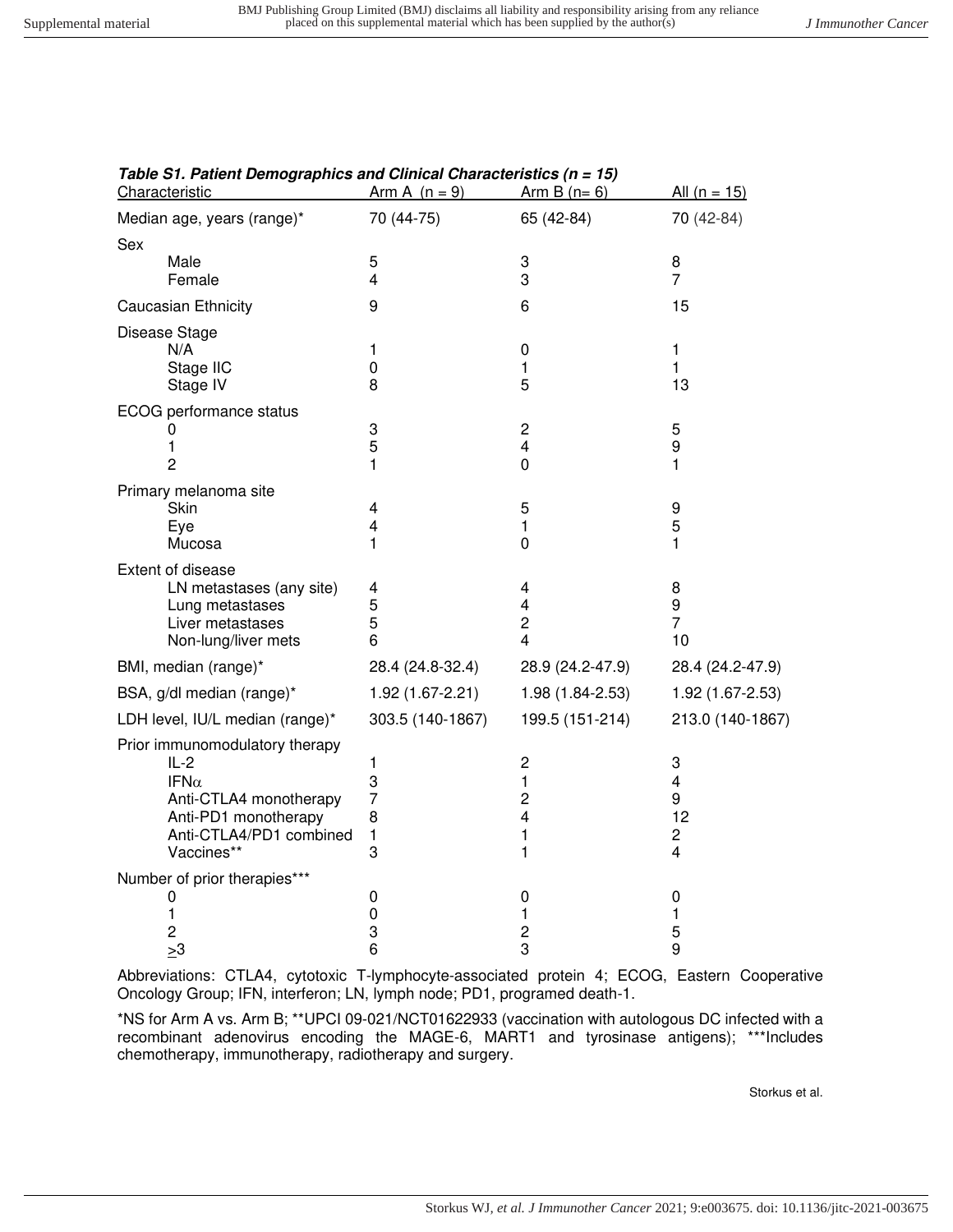| Characteristic                  | Arm A $(n = 9)$  | Arm B $(n=6)$                    | <u>All (n = 15)</u>     |
|---------------------------------|------------------|----------------------------------|-------------------------|
| Median age, years (range)*      | 70 (44-75)       | 65 (42-84)                       | 70 (42-84)              |
| Sex                             |                  |                                  |                         |
| Male                            | 5                | 3                                | 8                       |
| Female                          | $\overline{4}$   | 3                                | $\overline{7}$          |
| Caucasian Ethnicity             | 9                | 6                                | 15                      |
| Disease Stage                   |                  |                                  |                         |
| N/A                             | 1                | 0                                | 1                       |
| Stage IIC                       | 0                | 1                                | 1                       |
| Stage IV                        | 8                | 5                                | 13                      |
| ECOG performance status         |                  |                                  |                         |
| 0                               | 3                | $\overline{\mathbf{c}}$          | 5                       |
| 1                               | 5                | $\overline{\mathbf{4}}$          | 9                       |
| $\overline{2}$                  | 1                | $\mathbf 0$                      | 1                       |
| Primary melanoma site           |                  |                                  |                         |
| Skin                            | 4                | 5                                | 9                       |
| Eye                             | 4                | $\mathbf{1}$                     | 5                       |
| Mucosa                          | 1                | $\mathbf 0$                      | 1                       |
| Extent of disease               |                  |                                  |                         |
| LN metastases (any site)        | 4                | 4                                | 8                       |
| Lung metastases                 | 5                | 4                                | 9                       |
| Liver metastases                | 5                | $\overline{c}$<br>$\overline{4}$ | $\overline{7}$          |
| Non-lung/liver mets             | 6                |                                  | 10                      |
| BMI, median (range)*            | 28.4 (24.8-32.4) | 28.9 (24.2-47.9)                 | 28.4 (24.2-47.9)        |
| BSA, g/dl median (range)*       | 1.92 (1.67-2.21) | 1.98 (1.84-2.53)                 | 1.92 (1.67-2.53)        |
| LDH level, IU/L median (range)* | 303.5 (140-1867) | 199.5 (151-214)                  | 213.0 (140-1867)        |
| Prior immunomodulatory therapy  |                  |                                  |                         |
| $IL-2$                          | 1                | $\overline{c}$                   | 3                       |
| IFN $\alpha$                    | 3                | $\mathbf{1}$                     | $\overline{\mathbf{4}}$ |
| Anti-CTLA4 monotherapy          | $\overline{7}$   | $\overline{c}$                   | 9                       |
| Anti-PD1 monotherapy            | 8                | 4                                | 12                      |
| Anti-CTLA4/PD1 combined         | $\mathbf{1}$     | 1                                | $\overline{c}$          |
| Vaccines**                      | 3                | 1                                | 4                       |
| Number of prior therapies***    |                  |                                  |                         |
| 0                               | 0                | 0                                | 0                       |
| 1<br>2                          | 0<br>3           | 1<br>$\overline{\mathbf{c}}$     | 1<br>5                  |
| $\geq 3$                        | 6                | 3                                | 9                       |
|                                 |                  |                                  |                         |

## **Table S1. Patient Demographics and Clinical Characteristics (n = 15)**

Abbreviations: CTLA4, cytotoxic T-lymphocyte-associated protein 4; ECOG, Eastern Cooperative Oncology Group; IFN, interferon; LN, lymph node; PD1, programed death-1.

\*NS for Arm A vs. Arm B; \*\*UPCI 09-021/NCT01622933 (vaccination with autologous DC infected with a recombinant adenovirus encoding the MAGE-6, MART1 and tyrosinase antigens); \*\*\*Includes chemotherapy, immunotherapy, radiotherapy and surgery.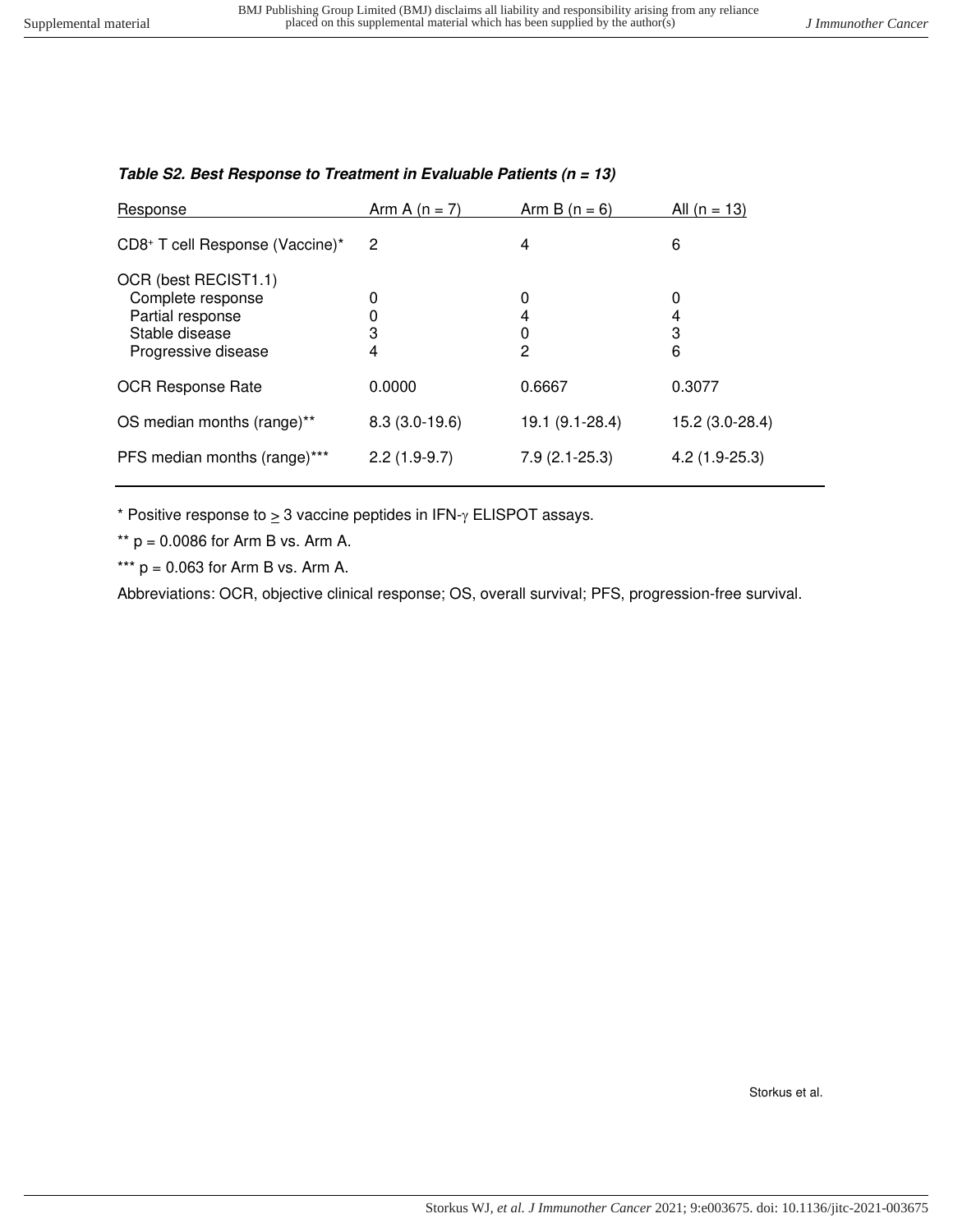| Response                                                                                               | Arm A $(n = 7)$ | Arm B $(n = 6)$  | All $(n = 13)$   |
|--------------------------------------------------------------------------------------------------------|-----------------|------------------|------------------|
| CD8+ T cell Response (Vaccine)*                                                                        | 2               | 4                | 6                |
| OCR (best RECIST1.1)<br>Complete response<br>Partial response<br>Stable disease<br>Progressive disease | 0<br>3<br>4     | 0<br>4<br>0<br>2 | 0<br>4<br>3<br>6 |
| <b>OCR Response Rate</b>                                                                               | 0.0000          | 0.6667           | 0.3077           |
| OS median months (range)**                                                                             | $8.3(3.0-19.6)$ | 19.1 (9.1-28.4)  | 15.2 (3.0-28.4)  |
| PFS median months (range)***                                                                           | $2.2(1.9-9.7)$  | $7.9(2.1-25.3)$  | $4.2(1.9-25.3)$  |

## **Table S2. Best Response to Treatment in Evaluable Patients (n = 13)**

\* Positive response to  $\geq 3$  vaccine peptides in IFN- $\gamma$  ELISPOT assays.

\*\*  $p = 0.0086$  for Arm B vs. Arm A.

\*\*\*  $p = 0.063$  for Arm B vs. Arm A.

Abbreviations: OCR, objective clinical response; OS, overall survival; PFS, progression-free survival.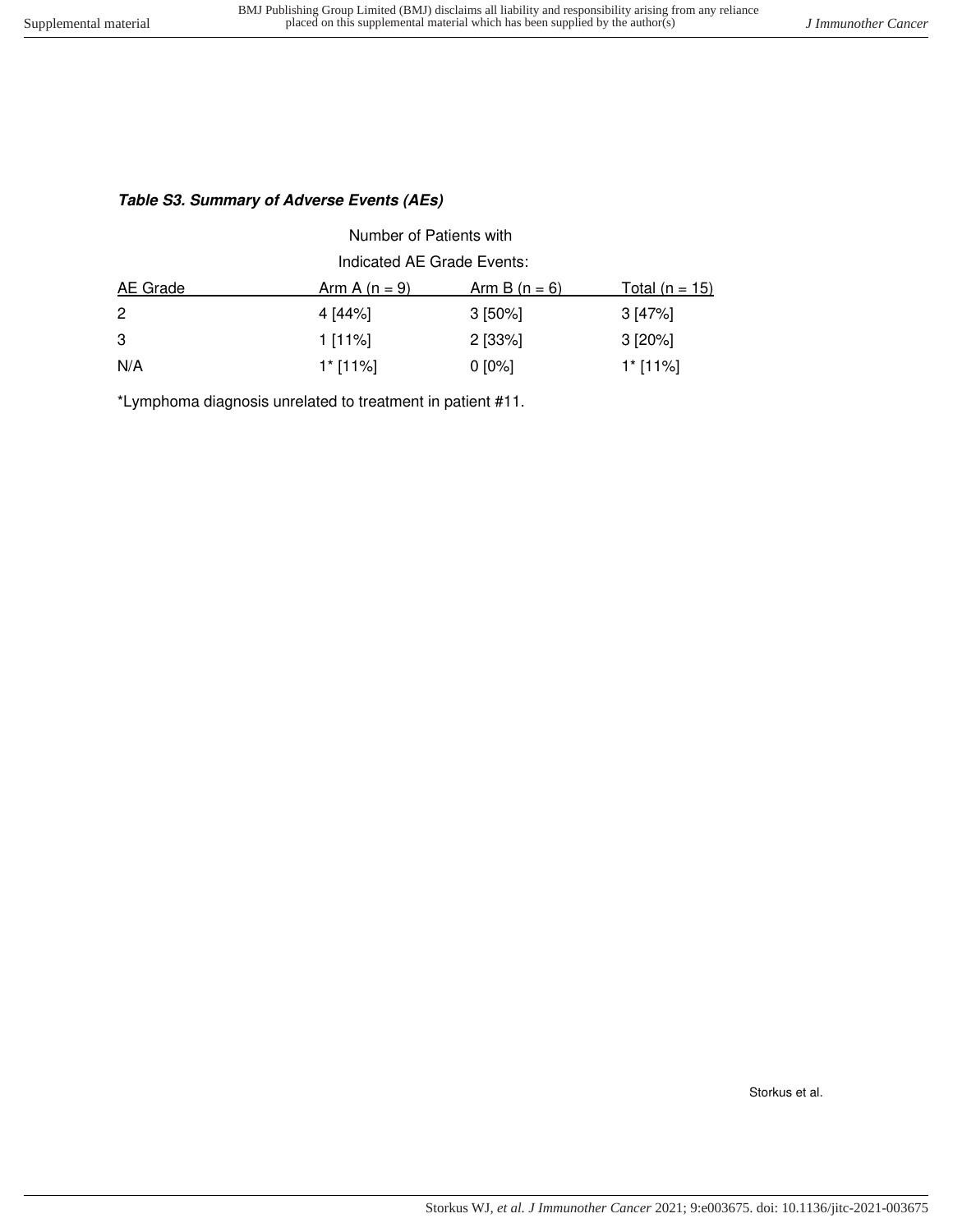## **Table S3. Summary of Adverse Events (AEs)**

| Number of Patients with    |                      |                      |                       |  |  |  |
|----------------------------|----------------------|----------------------|-----------------------|--|--|--|
| Indicated AE Grade Events: |                      |                      |                       |  |  |  |
| <b>AE</b> Grade            | <u>Arm A (n = 9)</u> | <u>Arm B (n = 6)</u> | <u>Total (n = 15)</u> |  |  |  |
| $\mathbf{2}$               | 4 [44%]              | $3$ [50%]            | 3 [47%]               |  |  |  |
| 3                          | 1 [11%]              | $2$ [33%]            | $3 [20\%]$            |  |  |  |
| N/A                        | $1$ * [11%]          | $0 [0\%]$            | $1$ * [11%]           |  |  |  |

\*Lymphoma diagnosis unrelated to treatment in patient #11.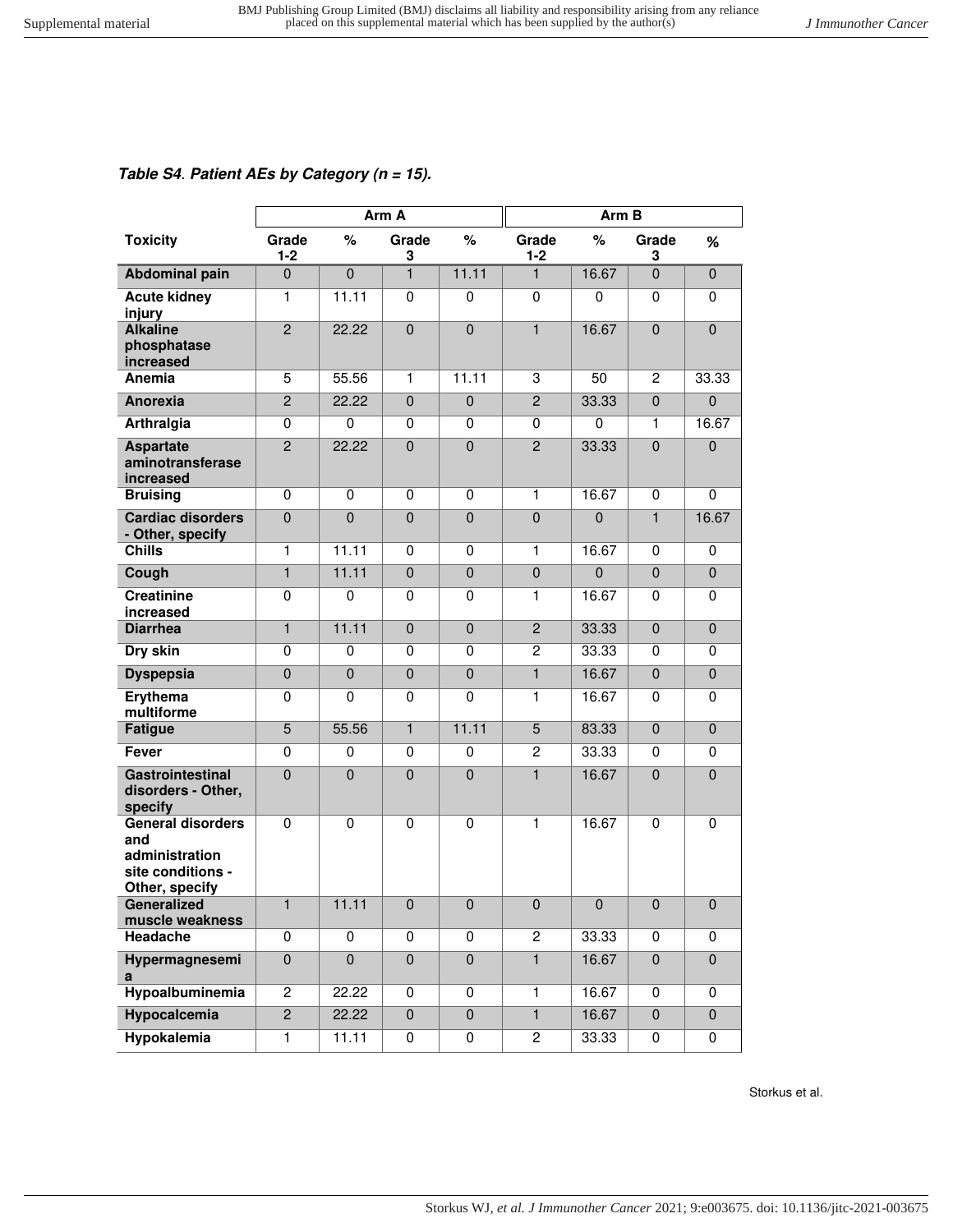## **Table S4**. **Patient AEs by Category (n = 15).**

|                                                                                          | Arm A            |                |                | Arm B          |                  |              |                |                |
|------------------------------------------------------------------------------------------|------------------|----------------|----------------|----------------|------------------|--------------|----------------|----------------|
| <b>Toxicity</b>                                                                          | Grade<br>$1 - 2$ | $\%$           | Grade<br>3     | $\%$           | Grade<br>$1 - 2$ | %            | Grade<br>3     | %              |
| <b>Abdominal pain</b>                                                                    | $\overline{0}$   | $\overline{0}$ | $\mathbf{1}$   | 11.11          | 1                | 16.67        | $\overline{0}$ | $\mathbf 0$    |
| <b>Acute kidney</b><br>injury                                                            | $\mathbf{1}$     | 11.11          | 0              | $\mathbf 0$    | $\mathbf 0$      | 0            | 0              | 0              |
| <b>Alkaline</b><br>phosphatase<br>increased                                              | $\overline{2}$   | 22.22          | $\mathbf{0}$   | $\overline{0}$ | $\blacksquare$   | 16.67        | $\mathbf 0$    | $\overline{0}$ |
| Anemia                                                                                   | 5                | 55.56          | $\mathbf{1}$   | 11.11          | 3                | 50           | $\overline{c}$ | 33.33          |
| Anorexia                                                                                 | $\overline{2}$   | 22.22          | $\mathbf{0}$   | $\mathbf 0$    | $\overline{2}$   | 33.33        | $\Omega$       | $\mathbf{0}$   |
| Arthralgia                                                                               | $\mathbf 0$      | $\Omega$       | 0              | 0              | 0                | $\mathbf 0$  | 1              | 16.67          |
| <b>Aspartate</b><br>aminotransferase<br>increased                                        | $\overline{2}$   | 22.22          | $\Omega$       | $\mathbf 0$    | $\overline{2}$   | 33.33        | $\Omega$       | $\mathbf 0$    |
| <b>Bruising</b>                                                                          | $\mathbf 0$      | 0              | 0              | 0              | 1                | 16.67        | 0              | 0              |
| <b>Cardiac disorders</b><br>- Other, specify                                             | $\mathbf 0$      | $\mathbf 0$    | $\mathbf 0$    | $\mathbf 0$    | $\pmb{0}$        | $\mathbf{0}$ | $\mathbf{1}$   | 16.67          |
| <b>Chills</b>                                                                            | $\mathbf{1}$     | 11.11          | 0              | $\mathbf 0$    | 1                | 16.67        | $\mathbf 0$    | $\mathbf 0$    |
| Cough                                                                                    | $\mathbf{1}$     | 11.11          | $\Omega$       | $\mathbf 0$    | $\boldsymbol{0}$ | $\mathbf 0$  | $\mathbf{0}$   | $\mathbf{0}$   |
| <b>Creatinine</b><br>increased                                                           | $\mathbf 0$      | $\mathbf 0$    | 0              | $\mathbf 0$    | 1                | 16.67        | 0              | $\mathbf 0$    |
| <b>Diarrhea</b>                                                                          | $\mathbf{1}$     | 11.11          | $\Omega$       | $\overline{0}$ | $\overline{2}$   | 33.33        | $\mathbf{0}$   | $\mathbf 0$    |
| Dry skin                                                                                 | $\mathbf 0$      | $\mathbf 0$    | 0              | $\mathbf 0$    | $\overline{2}$   | 33.33        | 0              | $\mathbf 0$    |
| <b>Dyspepsia</b>                                                                         | $\mathbf 0$      | $\mathbf 0$    | $\mathbf 0$    | $\mathbf 0$    | $\mathbf{1}$     | 16.67        | $\mathbf 0$    | $\mathbf 0$    |
| Erythema<br>multiforme                                                                   | $\mathbf 0$      | $\mathbf 0$    | $\mathbf{0}$   | $\mathbf 0$    | 1                | 16.67        | $\mathbf 0$    | $\Omega$       |
| <b>Fatigue</b>                                                                           | 5                | 55.56          | $\mathbf{1}$   | 11.11          | 5                | 83.33        | $\mathbf{0}$   | $\mathbf 0$    |
| <b>Fever</b>                                                                             | $\mathbf 0$      | $\mathbf 0$    | 0              | 0              | $\overline{c}$   | 33.33        | $\mathbf 0$    | 0              |
| <b>Gastrointestinal</b><br>disorders - Other,<br>specify                                 | $\mathbf 0$      | $\mathbf 0$    | $\mathbf{0}$   | $\mathbf 0$    | $\blacksquare$   | 16.67        | $\mathbf{0}$   | $\Omega$       |
| <b>General disorders</b><br>and<br>administration<br>site conditions -<br>Other, specify | $\mathbf 0$      | $\mathbf 0$    | $\mathbf 0$    | 0              | 1                | 16.67        | 0              | $\mathbf 0$    |
| Generalized<br>muscle weakness                                                           | $\mathbf{1}$     | 11.11          | $\pmb{0}$      | $\pmb{0}$      | $\pmb{0}$        | $\pmb{0}$    | $\pmb{0}$      | $\pmb{0}$      |
| Headache                                                                                 | 0                | $\mathbf 0$    | $\mathbf 0$    | 0              | $\sqrt{2}$       | 33.33        | 0              | 0              |
| Hypermagnesemi<br>a                                                                      | $\pmb{0}$        | $\overline{0}$ | $\pmb{0}$      | $\pmb{0}$      | $\mathbf{1}$     | 16.67        | $\mathbf 0$    | $\pmb{0}$      |
| Hypoalbuminemia                                                                          | $\overline{c}$   | 22.22          | 0              | 0              | 1                | 16.67        | 0              | 0              |
| <b>Hypocalcemia</b>                                                                      | $\overline{2}$   | 22.22          | $\overline{0}$ | $\mathbf 0$    | $\overline{1}$   | 16.67        | $\mathbf 0$    | $\overline{0}$ |
| <b>Hypokalemia</b>                                                                       | $\mathbf{1}$     | 11.11          | 0              | $\pmb{0}$      | $\overline{c}$   | 33.33        | 0              | 0              |